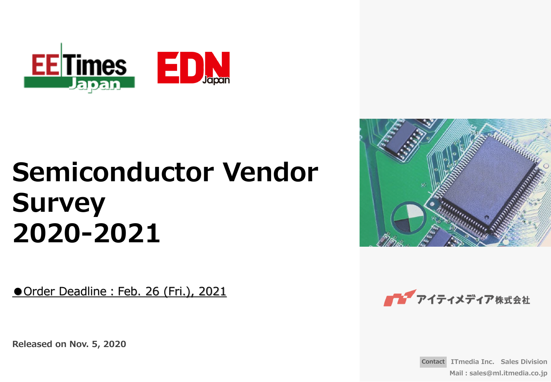

# **Semiconductor Vendor Survey 2020-2021**

Order Deadline: Feb. 26 (Fri.), 2021

**Released on Nov. 5, 2020**





**Contact ITmedia Inc. Sales Division Mail:sales@ml.itmedia.co.jp**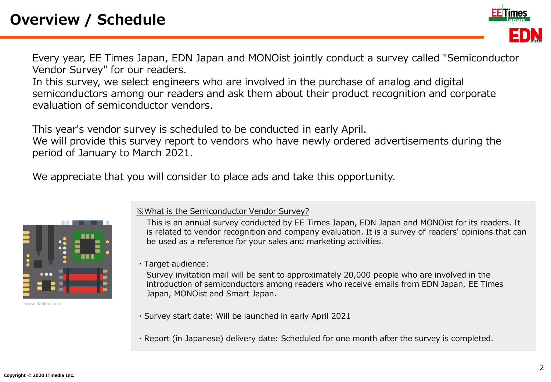Every year, EE Times Japan, EDN Japan and MONOist jointly conduct a survey called "Semiconductor Vendor Survey" for our readers.

In this survey, we select engineers who are involved in the purchase of analog and digital semiconductors among our readers and ask them about their product recognition and corporate evaluation of semiconductor vendors.

This year's vendor survey is scheduled to be conducted in early April.

We will provide this survey report to vendors who have newly ordered advertisements during the period of January to March 2021.

We appreciate that you will consider to place ads and take this opportunity.



www.flaticon.com

#### ※What is the Semiconductor Vendor Survey?

This is an annual survey conducted by EE Times Japan, EDN Japan and MONOist for its readers. It is related to vendor recognition and company evaluation. It is a survey of readers' opinions that can be used as a reference for your sales and marketing activities.

・Target audience:

Survey invitation mail will be sent to approximately 20,000 people who are involved in the introduction of semiconductors among readers who receive emails from EDN Japan, EE Times Japan, MONOist and Smart Japan.

- ・Survey start date: Will be launched in early April 2021
- ・Report (in Japanese) delivery date: Scheduled for one month after the survey is completed.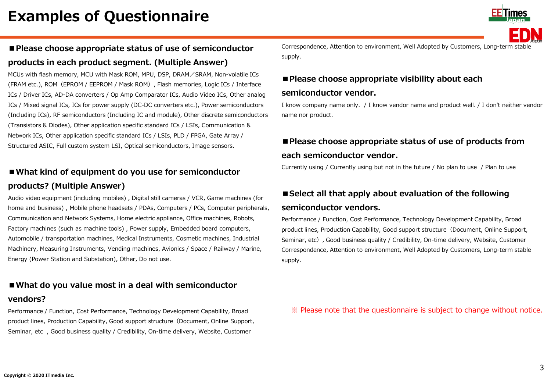

# ■ **Please choose appropriate status of use of semiconductor products in each product segment. (Multiple Answer)**

MCUs with flash memory, MCU with Mask ROM, MPU, DSP, DRAM/SRAM, Non-volatile ICs (FRAM etc.), ROM(EPROM / EEPROM / Mask ROM), Flash memories, Logic ICs / Interface ICs / Driver ICs, AD-DA converters / Op Amp Comparator ICs, Audio Video ICs, Other analog ICs / Mixed signal ICs, ICs for power supply (DC-DC converters etc.), Power semiconductors (Including ICs), RF semiconductors (Including IC and module), Other discrete semiconductors (Transistors & Diodes), Other application specific standard ICs / LSIs, Communication & Network ICs, Other application specific standard ICs / LSIs, PLD / FPGA, Gate Array / Structured ASIC, Full custom system LSI, Optical semiconductors, Image sensors.

## ■ What kind of equipment do you use for semiconductor **products? (Multiple Answer)**

Audio video equipment (including mobiles) , Digital still cameras / VCR, Game machines (for home and business) , Mobile phone headsets / PDAs, Computers / PCs, Computer peripherals, Communication and Network Systems, Home electric appliance, Office machines, Robots, Factory machines (such as machine tools) , Power supply, Embedded board computers, Automobile / transportation machines, Medical Instruments, Cosmetic machines, Industrial Machinery, Measuring Instruments, Vending machines, Avionics / Space / Railway / Marine, Energy (Power Station and Substation), Other, Do not use.

### ■ What do you value most in a deal with semiconductor

#### **vendors?**

Performance / Function, Cost Performance, Technology Development Capability, Broad product lines, Production Capability, Good support structure(Document, Online Support, Seminar, etc , Good business quality / Credibility, On-time delivery, Website, Customer

Correspondence, Attention to environment, Well Adopted by Customers, Long-term stable supply.

## ■ Please choose appropriate visibility about each

#### **semiconductor vendor.**

I know company name only. / I know vendor name and product well. / I don't neither vendor name nor product.

# ■ Please choose appropriate status of use of products from **each semiconductor vendor.**

Currently using / Currently using but not in the future / No plan to use / Plan to use

# ■ Select all that apply about evaluation of the following

#### **semiconductor vendors.**

Performance / Function, Cost Performance, Technology Development Capability, Broad product lines, Production Capability, Good support structure (Document, Online Support, Seminar, etc), Good business quality / Credibility, On-time delivery, Website, Customer Correspondence, Attention to environment, Well Adopted by Customers, Long-term stable supply.

※ Please note that the questionnaire is subject to change without notice.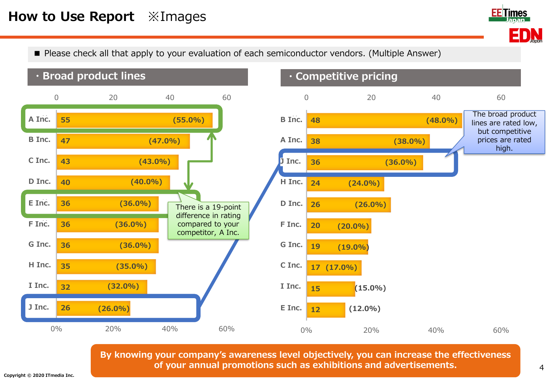# **How to Use Report** ※Images



■ Please check all that apply to your evaluation of each semiconductor vendors. (Multiple Answer)



**By knowing your company's awareness level objectively, you can increase the effectiveness of your annual promotions such as exhibitions and advertisements.**

4